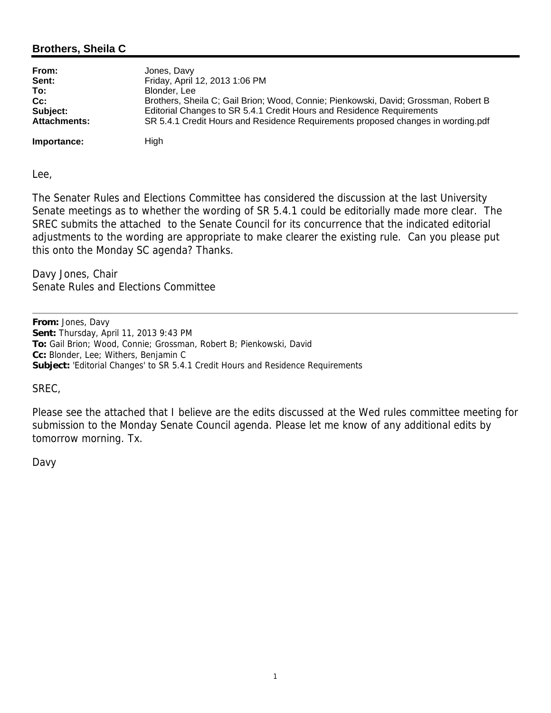## **Brothers, Sheila C**

| From:               | Jones, Davy                                                                         |
|---------------------|-------------------------------------------------------------------------------------|
| Sent:               | Friday, April 12, 2013 1:06 PM                                                      |
| To:                 | Blonder, Lee                                                                        |
| Cc:                 | Brothers, Sheila C; Gail Brion; Wood, Connie; Pienkowski, David; Grossman, Robert B |
| Subject:            | Editorial Changes to SR 5.4.1 Credit Hours and Residence Requirements               |
| <b>Attachments:</b> | SR 5.4.1 Credit Hours and Residence Requirements proposed changes in wording.pdf    |
| Importance:         | High                                                                                |

Lee,

The Senater Rules and Elections Committee has considered the discussion at the last University Senate meetings as to whether the wording of SR 5.4.1 could be editorially made more clear. The SREC submits the attached to the Senate Council for its concurrence that the indicated editorial adjustments to the wording are appropriate to make clearer the existing rule. Can you please put this onto the Monday SC agenda? Thanks.

Davy Jones, Chair Senate Rules and Elections Committee

**From:** Jones, Davy **Sent:** Thursday, April 11, 2013 9:43 PM **To:** Gail Brion; Wood, Connie; Grossman, Robert B; Pienkowski, David **Cc:** Blonder, Lee; Withers, Benjamin C **Subject:** 'Editorial Changes' to SR 5.4.1 Credit Hours and Residence Requirements

### SREC,

Please see the attached that I believe are the edits discussed at the Wed rules committee meeting for submission to the Monday Senate Council agenda. Please let me know of any additional edits by tomorrow morning. Tx.

#### Davy